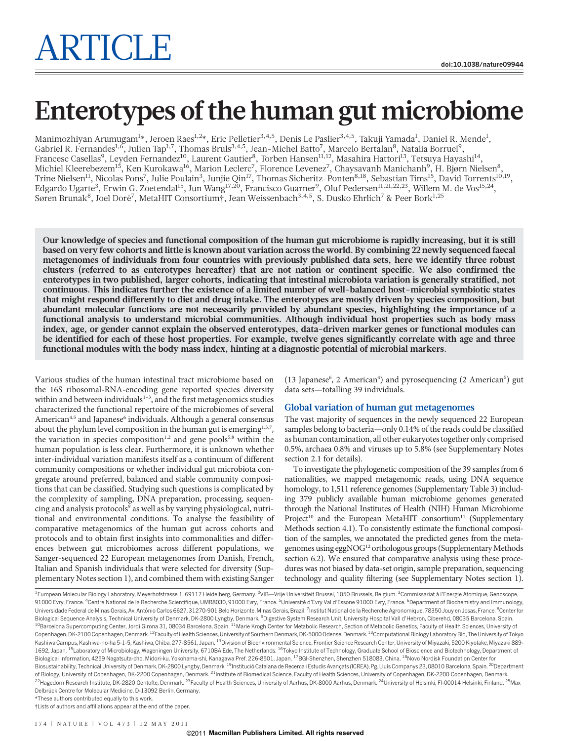# ARTICLE

# Enterotypes of the human gut microbiome

Manimozhiyan Arumugam<sup>1</sup>\*, Jeroen Raes<sup>1,2</sup>\*, Eric Pelletier<sup>3,4,5</sup>, Denis Le Paslier<sup>3,4,5</sup>, Takuji Yamada<sup>1</sup>, Daniel R. Mende<sup>1</sup>, Gabriel R. Fernandes $^{1,6}$ , Julien Tap $^{1,7}$ , Thomas Bruls $^{3,4,5}$ , Jean-Michel Batto $^7$ , Marcelo Bertalan $^8$ , Natalia Borruel $^9$ , Francesc Casellas $^9$ , Leyden Fernandez $^{10}$ , Laurent Gautier $^8$ , Torben Hansen $^{11,12}$ , Masahira Hattori $^{13}$ , Tetsuya Hayashi $^{14},$ Michiel Kleerebezem $^{15}$ , Ken Kurokawa $^{16}$ , Marion Leclerc $^7$ , Florence Levenez $^7$ , Chaysavanh Manichanh $^9$ , H. Bjørn Nielsen $^8$ , Trine Nielsen $^{11}$ , Nicolas Pons $^7$ , Julie Poulain $^3$ , Junjie Qin $^{17}$ , Thomas Sicheritz-Ponten $^{8,18}$ , Sebastian Tims $^{15}$ , David Torrents $^{10,19},$ Edgardo Ugarte<sup>3</sup>, Erwin G. Zoetendal<sup>15</sup>, Jun Wang<sup>17,20</sup>, Francisco Guarner<sup>9</sup>, Oluf Pedersen<sup>11,21,22,23</sup>, Willem M. de Vos<sup>15,24</sup>, Søren Brunak $^8$ , Joel Doré $^7$ , MetaHIT Consortium $\dagger$ , Jean Weissenbach $^{3,4,5}$ , S. Dusko Ehrlich $^7$  & Peer Bork $^{1,25}$ 

Our knowledge of species and functional composition of the human gut microbiome is rapidly increasing, but it is still based on very few cohorts and little is known about variation across the world. By combining 22 newly sequenced faecal metagenomes of individuals from four countries with previously published data sets, here we identify three robust clusters (referred to as enterotypes hereafter) that are not nation or continent specific. We also confirmed the enterotypes in two published, larger cohorts, indicating that intestinal microbiota variation is generally stratified, not continuous. This indicates further the existence of a limited number of well-balanced host–microbial symbiotic states that might respond differently to diet and drug intake. The enterotypes are mostly driven by species composition, but abundant molecular functions are not necessarily provided by abundant species, highlighting the importance of a functional analysis to understand microbial communities. Although individual host properties such as body mass index, age, or gender cannot explain the observed enterotypes, data-driven marker genes or functional modules can be identified for each of these host properties. For example, twelve genes significantly correlate with age and three functional modules with the body mass index, hinting at a diagnostic potential of microbial markers.

Various studies of the human intestinal tract microbiome based on the 16S ribosomal-RNA-encoding gene reported species diversity within and between individuals<sup>1-3</sup>, and the first metagenomics studies characterized the functional repertoire of the microbiomes of several American<sup>4,5</sup> and Japanese<sup>6</sup> individuals. Although a general consensus about the phylum level composition in the human gut is emerging<sup>1,3,7</sup>, the variation in species composition<sup>1,2</sup> and gene pools<sup>5,8</sup> within the human population is less clear. Furthermore, it is unknown whether inter-individual variation manifests itself as a continuum of different community compositions or whether individual gut microbiota congregate around preferred, balanced and stable community compositions that can be classified. Studying such questions is complicated by the complexity of sampling, DNA preparation, processing, sequencing and analysis protocols<sup>9</sup> as well as by varying physiological, nutritional and environmental conditions. To analyse the feasibility of comparative metagenomics of the human gut across cohorts and protocols and to obtain first insights into commonalities and differences between gut microbiomes across different populations, we Sanger-sequenced 22 European metagenomes from Danish, French, Italian and Spanish individuals that were selected for diversity (Supplementary Notes section 1), and combined them with existing Sanger

(13 Japanese<sup>6</sup>, 2 American<sup>4</sup>) and pyrosequencing (2 American<sup>5</sup>) gut data sets—totalling 39 individuals.

# Global variation of human gut metagenomes

The vast majority of sequences in the newly sequenced 22 European samples belong to bacteria—only 0.14% of the reads could be classified as human contamination, all other eukaryotes together only comprised 0.5%, archaea 0.8% and viruses up to 5.8% (see Supplementary Notes section 2.1 for details).

To investigate the phylogenetic composition of the 39 samples from 6 nationalities, we mapped metagenomic reads, using DNA sequence homology, to 1,511 reference genomes (Supplementary Table 3) including 379 publicly available human microbiome genomes generated through the National Institutes of Health (NIH) Human Microbiome Project<sup>10</sup> and the European MetaHIT consortium<sup>11</sup> (Supplementary Methods section 4.1). To consistently estimate the functional composition of the samples, we annotated the predicted genes from the metagenomes using eggNOG<sup>12</sup> orthologous groups (Supplementary Methods section 6.2). We ensured that comparative analysis using these procedures was not biased by data-set origin, sample preparation, sequencing technology and quality filtering (see Supplementary Notes section 1).

<sup>1</sup>European Molecular Biology Laboratory, Meyerhofstrasse 1, 69117 Heidelberg, Germany. <sup>2</sup>VIB—Vrije Universiteit Brussel, 1050 Brussels, Belgium. <sup>3</sup>Commissariat à l'Energie Atomique, Genoscope, 91000 Evry, France. <sup>4</sup>Centre National de la Recherche Scientifique, UMR8030, 91000 Evry, France. <sup>5</sup>Université d'Evry Val d'Essone 91000 Evry, France. <sup>6</sup>Department of Biochemistry and Immunology Universidade Federal de Minas Gerais, Av. Antônio Carlos 6627, 31270-901 Belo Horizonte, Minas Gerais, Brazil. <sup>7</sup>Institut National de la Recherche Agronomique, 78350 Jouy en Josas, France. <sup>8</sup>Center for Biological Sequence Analysis, Technical University of Denmark, DK-2800 Lyngby, Denmark. <sup>9</sup>Digestive System Research Unit, University Hospital Vall d'Hebron, Ciberehd, 08035 Barcelona, Spain.<br><sup>10</sup>Barcelona Supercomputing C Copenhagen, DK-2100 Copenhagen, Denmark. <sup>12</sup>Faculty of Health Sciences, University of Southern Denmark, DK-5000 Odense, Denmark. <sup>13</sup>Computational Biology Laboratory Bld, The University of Tokyo Kashiwa Campus, Kashiwa-no-ha 5-1-5, Kashiwa, Chiba, 277-8561, Japan. <sup>14</sup>Division of Bioenvironmental Science, Frontier Science Research Center, University of Miyazaki, 5200 Kiyotake, Miyazaki 889-1692, Japan. 15Laboratory of Microbiology, Wageningen University, 6710BA Ede, The Netherlands. 16Tokyo Institute of Technology, Graduate School of Bioscience and Biotechnology, Department of Biological Information, 4259 Nagatsuta-cho, Midori-ku, Yokohama-shi, Kanagawa Pref. 226-8501, Japan. 17BGI-Shenzhen, Shenzhen 518083, China. 18Novo Nordisk Foundation Center for Biosustainability, Technical University of Denmark, DK-2800 Lyngby, Denmark. <sup>19</sup>Institució Catalana de Recerca i Estudis Avançats (ICREA), Pg. Lluís Companys 23, 08010 Barcelona, Spain. <sup>20</sup>Department of Biology, University of Copenhagen, DK-2200 Copenhagen, Denmark. 21Institute of Biomedical Science, Faculty of Health Sciences, University of Copenhagen, DK-2200 Copenhagen, Denmark. <sup>22</sup>Hagedorn Research Institute, DK-2820 Gentofte, Denmark. <sup>23</sup>Faculty of Health Sciences, University of Aarhus, DK-8000 Aarhus, Denmark. <sup>24</sup>University of Helsinki, FI-00014 Helsinki, Finland. <sup>25</sup>Max Delbrück Centre for Molecular Medicine, D-13092 Berlin, Germany \*These authors contributed equally to this work.

{Lists of authors and affiliations appear at the end of the paper.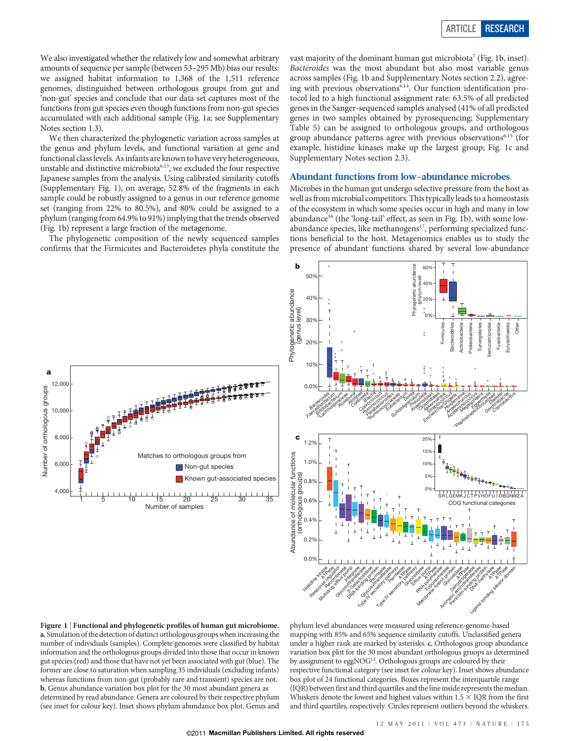We also investigated whether the relatively low and somewhat arbitrary amounts of sequence per sample (between 53–295 Mb) bias our results: we assigned habitat information to 1,368 of the 1,511 reference genomes, distinguished between orthologous groups from gut and 'non-gut' species and conclude that our data set captures most of the functions from gut species even though functions from non-gut species accumulated with each additional sample (Fig. 1a; see Supplementary Notes section 1.3).

We then characterized the phylogenetic variation across samples at the genus and phylum levels, and functional variation at gene and functional class levels. As infants are known to have very heterogeneous, unstable and distinctive microbiota<sup>6,13</sup>, we excluded the four respective Japanese samples from the analysis. Using calibrated similarity cutoffs (Supplementary Fig. 1), on average, 52.8% of the fragments in each sample could be robustly assigned to a genus in our reference genome set (ranging from 22% to 80.5%), and 80% could be assigned to a phylum (ranging from 64.9% to 91%) implying that the trends observed (Fig. 1b) represent a large fraction of the metagenome.

The phylogenetic composition of the newly sequenced samples confirms that the Firmicutes and Bacteroidetes phyla constitute the

vast majority of the dominant human gut microbiota<sup>7</sup> (Fig. 1b, inset). Bacteroides was the most abundant but also most variable genus across samples (Fig. 1b and Supplementary Notes section 2.2), agreeing with previous observations<sup>6,14</sup>. Our function identification protocol led to a high functional assignment rate: 63.5% of all predicted genes in the Sanger-sequenced samples analysed (41% of all predicted genes in two samples obtained by pyrosequencing; Supplementary Table 5) can be assigned to orthologous groups, and orthologous group abundance patterns agree with previous observations $6,15$  (for example, histidine kinases make up the largest group; Fig. 1c and Supplementary Notes section 2.3).

## Abundant functions from low-abundance microbes

Microbes in the human gut undergo selective pressure from the host as well as from microbial competitors. This typically leads to a homeostasis of the ecosystem in which some species occur in high and many in low abundance<sup>16</sup> (the 'long-tail' effect, as seen in Fig. 1b), with some lowabundance species, like methanogens $17$ , performing specialized functions beneficial to the host. Metagenomics enables us to study the presence of abundant functions shared by several low-abundance

60%





Figure 1 | Functional and phylogenetic profiles of human gut microbiome. a, Simulation of the detection of distinct orthologous groups when increasing the number of individuals (samples). Complete genomes were classified by habitat information and the orthologous groups divided into those that occur in known gut species (red) and those that have not yet been associated with gut (blue). The former are close to saturation when sampling 35 individuals (excluding infants) whereas functions from non-gut (probably rare and transient) species are not. b, Genus abundance variation box plot for the 30 most abundant genera as determined by read abundance. Genera are coloured by their respective phylum (see inset for colour key). Inset shows phylum abundance box plot. Genus and

phylum level abundances were measured using reference-genome-based mapping with 85% and 65% sequence similarity cutoffs. Unclassified genera under a higher rank are marked by asterisks. c, Orthologous group abundance variation box plot for the 30 most abundant orthologous gruops as determined by assignment to egg $NOG^{12}$ . Orthologous groups are coloured by their respective functional category (see inset for colour key). Inset shows abundance box plot of 24 functional categories. Boxes represent the interquartile range (IQR) between first and third quartiles and the line inside represents the median. Whiskers denote the lowest and highest values within  $1.5 \times$  IQR from the first and third quartiles, respectively. Circles represent outliers beyond the whiskers.

b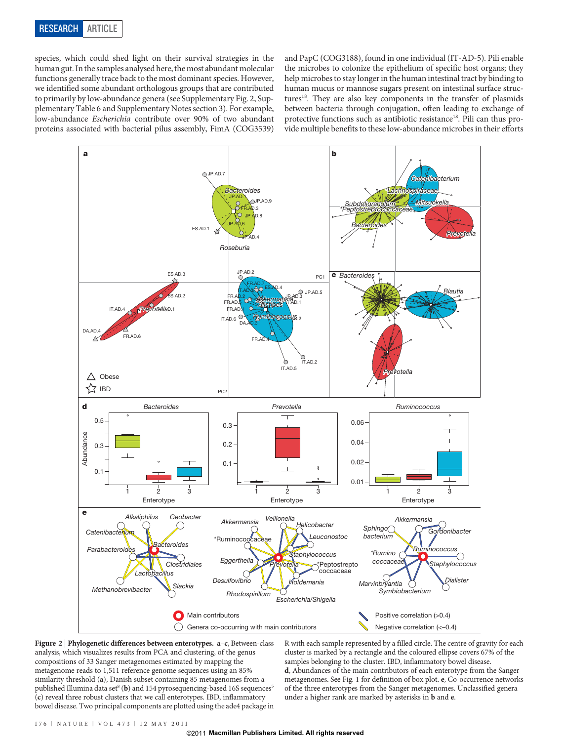species, which could shed light on their survival strategies in the human gut. In the samples analysed here, the most abundant molecular functions generally trace back to the most dominant species. However, we identified some abundant orthologous groups that are contributed to primarily by low-abundance genera (see Supplementary Fig. 2, Supplementary Table 6 and Supplementary Notes section 3). For example, low-abundance Escherichia contribute over 90% of two abundant proteins associated with bacterial pilus assembly, FimA (COG3539)

and PapC (COG3188), found in one individual (IT-AD-5). Pili enable the microbes to colonize the epithelium of specific host organs; they help microbes to stay longer in the human intestinal tract by binding to human mucus or mannose sugars present on intestinal surface structures<sup>18</sup>. They are also key components in the transfer of plasmids between bacteria through conjugation, often leading to exchange of protective functions such as antibiotic resistance<sup>18</sup>. Pili can thus provide multiple benefits to these low-abundance microbes in their efforts



Figure 2 <sup>|</sup> Phylogenetic differences between enterotypes. a–c, Between-class analysis, which visualizes results from PCA and clustering, of the genus compositions of 33 Sanger metagenomes estimated by mapping the metagenome reads to 1,511 reference genome sequences using an 85% similarity threshold (a), Danish subset containing 85 metagenomes from a published Illumina data set<sup>8</sup> (b) and 154 pyrosequencing-based 16S sequences<sup>5</sup> (c) reveal three robust clusters that we call enterotypes. IBD, inflammatory bowel disease. Two principal components are plotted using the ade4 package in

R with each sample represented by a filled circle. The centre of gravity for each cluster is marked by a rectangle and the coloured ellipse covers 67% of the samples belonging to the cluster. IBD, inflammatory bowel disease. d, Abundances of the main contributors of each enterotype from the Sanger metagenomes. See Fig. 1 for definition of box plot. e, Co-occurrence networks of the three enterotypes from the Sanger metagenomes. Unclassified genera under a higher rank are marked by asterisks in b and e.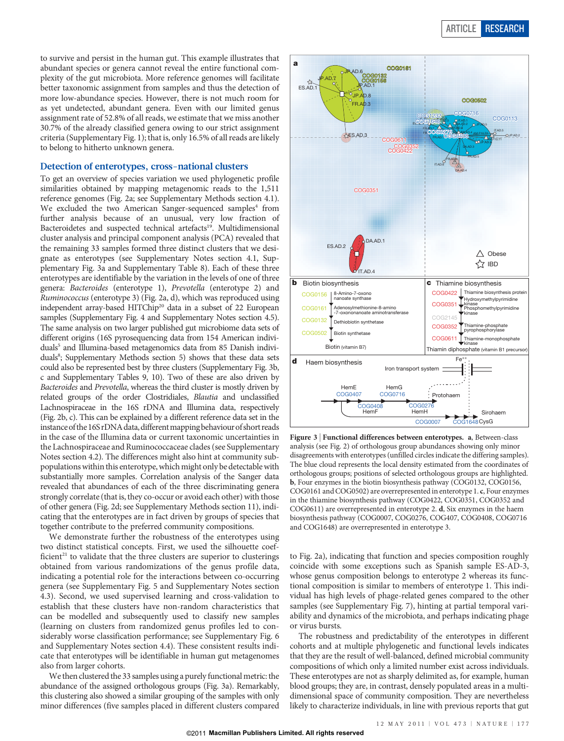to survive and persist in the human gut. This example illustrates that abundant species or genera cannot reveal the entire functional complexity of the gut microbiota. More reference genomes will facilitate better taxonomic assignment from samples and thus the detection of more low-abundance species. However, there is not much room for as yet undetected, abundant genera. Even with our limited genus assignment rate of 52.8% of all reads, we estimate that we miss another 30.7% of the already classified genera owing to our strict assignment criteria (Supplementary Fig. 1); that is, only 16.5% of all reads are likely to belong to hitherto unknown genera.

#### Detection of enterotypes, cross-national clusters

To get an overview of species variation we used phylogenetic profile similarities obtained by mapping metagenomic reads to the 1,511 reference genomes (Fig. 2a; see Supplementary Methods section 4.1). We excluded the two American Sanger-sequenced samples<sup>4</sup> from further analysis because of an unusual, very low fraction of Bacteroidetes and suspected technical artefacts<sup>19</sup>. Multidimensional cluster analysis and principal component analysis (PCA) revealed that the remaining 33 samples formed three distinct clusters that we designate as enterotypes (see Supplementary Notes section 4.1, Supplementary Fig. 3a and Supplementary Table 8). Each of these three enterotypes are identifiable by the variation in the levels of one of three genera: Bacteroides (enterotype 1), Prevotella (enterotype 2) and Ruminococcus (enterotype 3) (Fig. 2a, d), which was reproduced using independent array-based HITChip<sup>20</sup> data in a subset of 22 European samples (Supplementary Fig. 4 and Supplementary Notes section 4.5). The same analysis on two larger published gut microbiome data sets of different origins (16S pyrosequencing data from 154 American individuals<sup>5</sup> and Illumina-based metagenomics data from 85 Danish individuals<sup>8</sup>; Supplementary Methods section 5) shows that these data sets could also be represented best by three clusters (Supplementary Fig. 3b, c and Supplementary Tables 9, 10). Two of these are also driven by Bacteroides and Prevotella, whereas the third cluster is mostly driven by related groups of the order Clostridiales, Blautia and unclassified Lachnospiraceae in the 16S rDNA and Illumina data, respectively (Fig. 2b, c). This can be explained by a different reference data set in the instance of the 16S rDNA data, different mapping behaviour of short reads in the case of the Illumina data or current taxonomic uncertainties in the Lachnospiraceae and Ruminococcaceae clades (see Supplementary Notes section 4.2). The differences might also hint at community subpopulations within this enterotype, which might only be detectable with substantially more samples. Correlation analysis of the Sanger data revealed that abundances of each of the three discriminating genera strongly correlate (that is, they co-occur or avoid each other) with those of other genera (Fig. 2d; see Supplementary Methods section 11), indicating that the enterotypes are in fact driven by groups of species that together contribute to the preferred community compositions.

We demonstrate further the robustness of the enterotypes using two distinct statistical concepts. First, we used the silhouette coefficient $21$  to validate that the three clusters are superior to clusterings obtained from various randomizations of the genus profile data, indicating a potential role for the interactions between co-occurring genera (see Supplementary Fig. 5 and Supplementary Notes section 4.3). Second, we used supervised learning and cross-validation to establish that these clusters have non-random characteristics that can be modelled and subsequently used to classify new samples (learning on clusters from randomized genus profiles led to considerably worse classification performance; see Supplementary Fig. 6 and Supplementary Notes section 4.4). These consistent results indicate that enterotypes will be identifiable in human gut metagenomes also from larger cohorts.

We then clustered the 33 samples using a purely functional metric: the abundance of the assigned orthologous groups (Fig. 3a). Remarkably, this clustering also showed a similar grouping of the samples with only minor differences (five samples placed in different clusters compared



Figure 3 <sup>|</sup> Functional differences between enterotypes. a, Between-class analysis (see Fig. 2) of orthologous group abundances showing only minor disagreements with enterotypes (unfilled circles indicate the differing samples). The blue cloud represents the local density estimated from the coordinates of orthologous groups; positions of selected orthologous groups are highlighted. b, Four enzymes in the biotin biosynthesis pathway (COG0132, COG0156, COG0161 and COG0502) are overrepresented in enterotype 1. c, Four enzymes in the thiamine biosynthesis pathway (COG0422, COG0351, COG0352 and COG0611) are overrepresented in enterotype 2. d, Six enzymes in the haem biosynthesis pathway (COG0007, COG0276, COG407, COG0408, COG0716 and COG1648) are overrepresented in enterotype 3.

to Fig. 2a), indicating that function and species composition roughly coincide with some exceptions such as Spanish sample ES-AD-3, whose genus composition belongs to enterotype 2 whereas its functional composition is similar to members of enterotype 1. This individual has high levels of phage-related genes compared to the other samples (see Supplementary Fig. 7), hinting at partial temporal variability and dynamics of the microbiota, and perhaps indicating phage or virus bursts.

The robustness and predictability of the enterotypes in different cohorts and at multiple phylogenetic and functional levels indicates that they are the result of well-balanced, defined microbial community compositions of which only a limited number exist across individuals. These enterotypes are not as sharply delimited as, for example, human blood groups; they are, in contrast, densely populated areas in a multidimensional space of community composition. They are nevertheless likely to characterize individuals, in line with previous reports that gut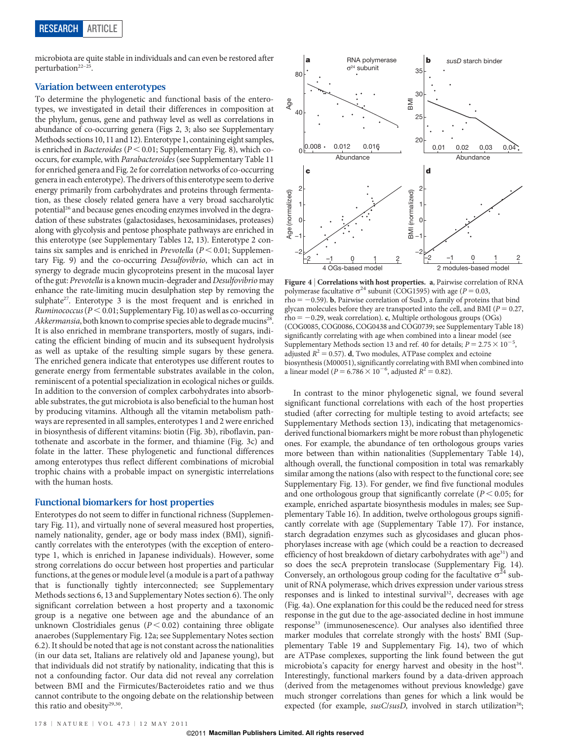microbiota are quite stable in individuals and can even be restored after perturbation<sup>22-25</sup>.

# Variation between enterotypes

To determine the phylogenetic and functional basis of the enterotypes, we investigated in detail their differences in composition at the phylum, genus, gene and pathway level as well as correlations in abundance of co-occurring genera (Figs 2, 3; also see Supplementary Methods sections 10, 11 and 12). Enterotype 1, containing eight samples, is enriched in Bacteroides ( $P < 0.01$ ; Supplementary Fig. 8), which cooccurs, for example, with Parabacteroides (see Supplementary Table 11 for enriched genera and Fig. 2e for correlation networks of co-occurring genera in each enterotype). The drivers of this enterotype seem to derive energy primarily from carbohydrates and proteins through fermentation, as these closely related genera have a very broad saccharolytic potential26 and because genes encoding enzymes involved in the degradation of these substrates (galactosidases, hexosaminidases, proteases) along with glycolysis and pentose phosphate pathways are enriched in this enterotype (see Supplementary Tables 12, 13). Enterotype 2 contains six samples and is enriched in *Prevotella* ( $P < 0.01$ ; Supplementary Fig. 9) and the co-occurring Desulfovibrio, which can act in synergy to degrade mucin glycoproteins present in the mucosal layer of the gut: Prevotella is a known mucin-degrader and Desulfovibrio may enhance the rate-limiting mucin desulphation step by removing the sulphate<sup>27</sup>. Enterotype 3 is the most frequent and is enriched in Ruminococcus ( $P < 0.01$ ; Supplementary Fig. 10) as well as co-occurring Akkermansia, both known to comprise species able to degrade mucins<sup>28</sup> It is also enriched in membrane transporters, mostly of sugars, indicating the efficient binding of mucin and its subsequent hydrolysis as well as uptake of the resulting simple sugars by these genera. The enriched genera indicate that enterotypes use different routes to generate energy from fermentable substrates available in the colon, reminiscent of a potential specialization in ecological niches or guilds. In addition to the conversion of complex carbohydrates into absorbable substrates, the gut microbiota is also beneficial to the human host by producing vitamins. Although all the vitamin metabolism pathways are represented in all samples, enterotypes 1 and 2 were enriched in biosynthesis of different vitamins: biotin (Fig. 3b), riboflavin, pantothenate and ascorbate in the former, and thiamine (Fig. 3c) and folate in the latter. These phylogenetic and functional differences among enterotypes thus reflect different combinations of microbial trophic chains with a probable impact on synergistic interrelations with the human hosts.

## Functional biomarkers for host properties

Enterotypes do not seem to differ in functional richness (Supplementary Fig. 11), and virtually none of several measured host properties, namely nationality, gender, age or body mass index (BMI), significantly correlates with the enterotypes (with the exception of enterotype 1, which is enriched in Japanese individuals). However, some strong correlations do occur between host properties and particular functions, at the genes or module level (a module is a part of a pathway that is functionally tightly interconnected; see Supplementary Methods sections 6, 13 and Supplementary Notes section 6). The only significant correlation between a host property and a taxonomic group is a negative one between age and the abundance of an unknown Clostridiales genus ( $P < 0.02$ ) containing three obligate anaerobes (Supplementary Fig. 12a; see Supplementary Notes section 6.2). It should be noted that age is not constant across the nationalities (in our data set, Italians are relatively old and Japanese young), but that individuals did not stratify by nationality, indicating that this is not a confounding factor. Our data did not reveal any correlation between BMI and the Firmicutes/Bacteroidetes ratio and we thus cannot contribute to the ongoing debate on the relationship between this ratio and obesity<sup>29,30</sup>.



Figure 4 | Correlations with host properties. a, Pairwise correlation of RNA polymerase facultative  $\sigma^{24}$  subunit (COG1595) with age (P = 0.03,  $rho = -0.59$ ). **b**, Pairwise correlation of SusD, a family of proteins that bind glycan molecules before they are transported into the cell, and BMI ( $P = 0.27$ ,  $rho = -0.29$ , weak correlation). c, Multiple orthologous groups (OGs) (COG0085, COG0086, COG0438 and COG0739; see Supplementary Table 18) significantly correlating with age when combined into a linear model (see Supplementary Methods section 13 and ref. 40 for details;  $P = 2.75 \times 10^{-5}$ , adjusted  $R^2 = 0.57$ ). d, Two modules, ATPase complex and ectoine biosynthesis (M00051), significantly correlating with BMI when combined into a linear model ( $P = 6.786 \times 10^{-6}$ , adjusted  $R^2 = 0.82$ ).

In contrast to the minor phylogenetic signal, we found several significant functional correlations with each of the host properties studied (after correcting for multiple testing to avoid artefacts; see Supplementary Methods section 13), indicating that metagenomicsderived functional biomarkers might be more robust than phylogenetic ones. For example, the abundance of ten orthologous groups varies more between than within nationalities (Supplementary Table 14), although overall, the functional composition in total was remarkably similar among the nations (also with respect to the functional core; see Supplementary Fig. 13). For gender, we find five functional modules and one orthologous group that significantly correlate ( $P < 0.05$ ; for example, enriched aspartate biosynthesis modules in males; see Supplementary Table 16). In addition, twelve orthologous groups significantly correlate with age (Supplementary Table 17). For instance, starch degradation enzymes such as glycosidases and glucan phosphorylases increase with age (which could be a reaction to decreased efficiency of host breakdown of dietary carbohydrates with age<sup>31</sup>) and so does the secA preprotein translocase (Supplementary Fig. 14). Conversely, an orthologous group coding for the facultative  $\sigma^{24}$  subunit of RNA polymerase, which drives expression under various stress responses and is linked to intestinal survival<sup>32</sup>, decreases with age (Fig. 4a). One explanation for this could be the reduced need for stress response in the gut due to the age-associated decline in host immune response<sup>33</sup> (immunosenescence). Our analyses also identified three marker modules that correlate strongly with the hosts' BMI (Supplementary Table 19 and Supplementary Fig. 14), two of which are ATPase complexes, supporting the link found between the gut microbiota's capacity for energy harvest and obesity in the host $34$ . Interestingly, functional markers found by a data-driven approach (derived from the metagenomes without previous knowledge) gave much stronger correlations than genes for which a link would be expected (for example,  $susC/susD$ , involved in starch utilization<sup>26</sup>;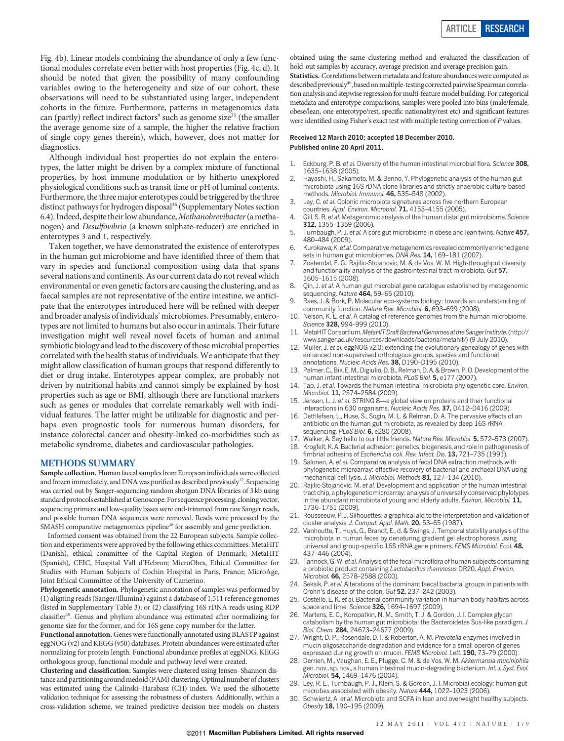Fig. 4b). Linear models combining the abundance of only a few functional modules correlate even better with host properties (Fig. 4c, d). It should be noted that given the possibility of many confounding variables owing to the heterogeneity and size of our cohort, these observations will need to be substantiated using larger, independent cohorts in the future. Furthermore, patterns in metagenomics data can (partly) reflect indirect factors<sup>9</sup> such as genome size<sup>35</sup> (the smaller the average genome size of a sample, the higher the relative fraction of single copy genes therein), which, however, does not matter for diagnostics.

Although individual host properties do not explain the enterotypes, the latter might be driven by a complex mixture of functional properties, by host immune modulation or by hitherto unexplored physiological conditions such as transit time or pH of luminal contents. Furthermore, the three major enterotypes could be triggered by the three distinct pathways for hydrogen disposal<sup>36</sup> (Supplementary Notes section 6.4). Indeed, despite their low abundance,Methanobrevibacter(a methanogen) and Desulfovibrio (a known sulphate-reducer) are enriched in enterotypes 3 and 1, respectively.

Taken together, we have demonstrated the existence of enterotypes in the human gut microbiome and have identified three of them that vary in species and functional composition using data that spans several nations and continents. As our current data do not reveal which environmental or even genetic factors are causing the clustering, and as faecal samples are not representative of the entire intestine, we anticipate that the enterotypes introduced here will be refined with deeper and broader analysis of individuals' microbiomes. Presumably, enterotypes are not limited to humans but also occur in animals. Their future investigation might well reveal novel facets of human and animal symbiotic biology and lead to the discovery of those microbial properties correlated with the health status of individuals. We anticipate that they might allow classification of human groups that respond differently to diet or drug intake. Enterotypes appear complex, are probably not driven by nutritional habits and cannot simply be explained by host properties such as age or BMI, although there are functional markers such as genes or modules that correlate remarkably well with individual features. The latter might be utilizable for diagnostic and perhaps even prognostic tools for numerous human disorders, for instance colorectal cancer and obesity-linked co-morbidities such as metabolic syndrome, diabetes and cardiovascular pathologies.

#### METHODS SUMMARY

Sample collection. Human faecal samples from European individuals were collected and frozen immediately, and DNA was purified as described previously<sup>37</sup>. Sequencing was carried out by Sanger-sequencing random shotgun DNA libraries of 3 kb using standard protocols established at Genoscope. For sequence processing, cloning vector, sequencing primers and low-quality bases were end-trimmed from raw Sanger reads, and possible human DNA sequences were removed. Reads were processed by the SMASH comparative metagenomics pipeline<sup>38</sup> for assembly and gene prediction.

Informed consent was obtained from the 22 European subjects. Sample collection and experiments were approved by the following ethics committees: MetaHIT (Danish), ethical committee of the Capital Region of Denmark; MetaHIT (Spanish), CEIC, Hospital Vall d'Hebron; MicroObes, Ethical Committee for Studies with Human Subjects of Cochin Hospital in Paris, France; MicroAge, Joint Ethical Committee of the University of Camerino.

Phylogenetic annotation. Phylogenetic annotation of samples was performed by (1) aligning reads (Sanger/Illumina) against a database of 1,511 reference genomes (listed in Supplementary Table 3); or (2) classifying 16S rDNA reads using RDP classifier<sup>39</sup>. Genus and phylum abundance was estimated after normalizing for genome size for the former, and for 16S gene copy number for the latter.

Functional annotation. Genes were functionally annotated using BLASTP against eggNOG (v2) and KEGG (v50) databases. Protein abundances were estimated after normalizing for protein length. Functional abundance profiles at eggNOG, KEGG orthologous group, functional module and pathway level were created.

Clustering and classification. Samples were clustered using Jensen–Shannon distance and partitioning around medoid (PAM) clustering. Optimal number of clusters was estimated using the Calinski–Harabasz (CH) index. We used the silhouette validation technique for assessing the robustness of clusters. Additionally, within a cross-validation scheme, we trained predictive decision tree models on clusters

obtained using the same clustering method and evaluated the classification of hold-out samples by accuracy, average precision and average precision gain. Statistics. Correlations between metadata and feature abundances were computed as described previously<sup>40</sup>, based on multiple-testing corrected pairwise Spearman correlation analysis and stepwise regression for multi-feature model building. For categorical metadata and enterotype comparisons, samples were pooled into bins (male/female, obese/lean, one enterotype/rest, specific nationality/rest etc) and significant features were identified using Fisher's exact test with multiple testing correction of P values.

#### Received 12 March 2010; accepted 18 December 2010. Published online 20 April 2011.

- 1. Eckburg, P. B. et al. Diversity of the human intestinal microbial flora. Science 308, 1635–1638 (2005).
- 2. Hayashi, H., Sakamoto, M. & Benno, Y. Phylogenetic analysis of the human gut microbiota using 16S rDNA clone libraries and strictly anaerobic culture-based methods. Microbiol. Immunol. 46, 535-548 (2002)
- Lay, C. et al. Colonic microbiota signatures across five northern European countries. Appl. Environ. Microbiol. 71, 4153-4155 (2005).
- Gill, S. R. et al. Metagenomic analysis of the human distal gut microbiome. Science 312, 1355–1359 (2006).
- Turnbaugh, P. J. et al. A core gut microbiome in obese and lean twins. Nature 457, 480–484 (2009).
- 6. Kurokawa, K. et al. Comparativemetagenomics revealed commonly enriched gene sets in human gut microbiomes. DNA Res. 14, 169-181 (2007).
- 7. Zoetendal, E. G., Rajilic-Stojanovic, M. & de Vos, W. M. High-throughput diversity and functionality analysis of the gastrointestinal tract microbiota. Gut 57, 1605–1615 (2008).
- 8. Qin, J. et al. A human gut microbial gene catalogue established by metagenomic sequencing. Nature **464**, 59-65 (2010).
- Raes, J. & Bork, P. Molecular eco-systems biology: towards an understanding of community function. Nature Rev. Microbiol. 6, 693–699 (2008).
- 10. Nelson, K. E. et al. A catalog of reference genomes from the human microbiome. Science 328, 994-999 (2010).
- 11. MetaHIT Consortium. MetaHIT Draft Bacterial Genomes at the Sanger Institute. ([http://](http://www.sanger.ac.uk/resources/downloads/bacteria/metahit) [www.sanger.ac.uk/resources/downloads/bacteria/metahit/](http://www.sanger.ac.uk/resources/downloads/bacteria/metahit)) (9 July 2010)
- 12. Muller, J. et al. eggNOG v2.0: extending the evolutionary genealogy of genes with enhanced non-supervised orthologous groups, species and functional annotations. Nucleic Acids Res. 38, D190–D195 (2010).
- 13. Palmer, C., Bik, E. M., Digiulio, D. B., Relman, D. A. & Brown, P. O. Development of the human infant intestinal microbiota. PLoS Biol. 5, e177 (2007).
- 14. Tap, J. et al. Towards the human intestinal microbiota phylogenetic core. Environ. Microbiol. 11, 2574–2584 (2009).
- 15. Jensen, L. J. et al. STRING 8—a global view on proteins and their functional interactions in 630 organisms. Nucleic Acids Res. 37, D412–D416 (2009).
- 16. Dethlefsen, L., Huse, S., Sogin, M. L. & Relman, D. A. The pervasive effects of an antibiotic on the human gut microbiota, as revealed by deep 16S rRNA sequencing. PLoS Biol. 6, e280 (2008).
- 17. Walker, A. Say hello to our little friends. Nature Rev. Microbiol. 5, 572–573 (2007).
- 18. Krogfelt, K. A. Bacterial adhesion: genetics, biogenesis, and role in pathogenesis of
- fimbrial adhesins of Escherichia coli. Rev. Infect. Dis. 13, 721-735 (1991). 19. Salonen, A. et al. Comparative analysis of fecal DNA extraction methods with
- phylogenetic microarray: effective recovery of bacterial and archaeal DNA using mechanical cell lysis. J. Microbiol. Methods 81, 127-134 (2010).
- 20. Rajilic-Stojanovic, M. et al. Development and application of the human intestinal tract chip, a phylogenetic microarray: analysis of universally conserved phylotypes in the abundant microbiota of young and elderly adults. Environ. Microbiol. 11, 1736–1751 (2009).
- 21. Rousseeuw, P. J. Silhouettes: a graphical aid to the interpretation and validation of cluster analysis. J. Comput. Appl. Math. 20, 53-65 (1987).
- 22. Vanhoutte, T., Huys, G., Brandt, E., d. & Swings, J. Temporal stability analysis of the microbiota in human feces by denaturing gradient gel electrophoresis using universal and group-specific 16S rRNA gene primers. FEMS Microbiol. Ecol. 48, 437–446 (2004).
- 23. Tannock, G. W. et al. Analysis of the fecal microflora of human subjects consuming a probiotic product containing Lactobacillus rhamnosus DR20. Appl. Environ. Microbiol. 66, 2578-2588 (2000).
- 24. Seksik, P. et al. Alterations of the dominant faecal bacterial groups in patients with Crohn's disease of the colon. Gut 52, 237-242 (2003).
- 25. Costello, E. K. et al. Bacterial community variation in human body habitats across space and time. Science 326, 1694-1697 (2009).
- 26. Martens, E. C., Koropatkin, N. M., Smith, T. J. & Gordon, J. I. Complex glycan catabolism by the human gut microbiota: the Bacteroidetes Sus-like paradigm. J. Biol. Chem. 284, 24673–24677 (2009).
- 27. Wright, D. P., Rosendale, D. I. & Roberton, A. M. Prevotella enzymes involved in mucin oligosaccharide degradation and evidence for a small operon of genes expressed during growth on mucin. FEMS Microbiol. Lett. 190, 73-79 (2000).
- 28. Derrien, M., Vaughan, E. E., Plugge, C. M. & de Vos, W. M. Akkermansia muciniphila gen. nov., sp. nov., a human intestinal mucin-degrading bacterium. Int. J. Syst. Evol. Microbiol. 54, 1469-1476 (2004).
- 29. Ley, R. E., Turnbaugh, P. J., Klein, S. & Gordon, J. I. Microbial ecology: human gut microbes associated with obesity. Nature 444, 1022-1023 (2006).
- Schwiertz, A. et al. Microbiota and SCFA in lean and overweight healthy subjects. Obesity 18, 190–195 (2009).